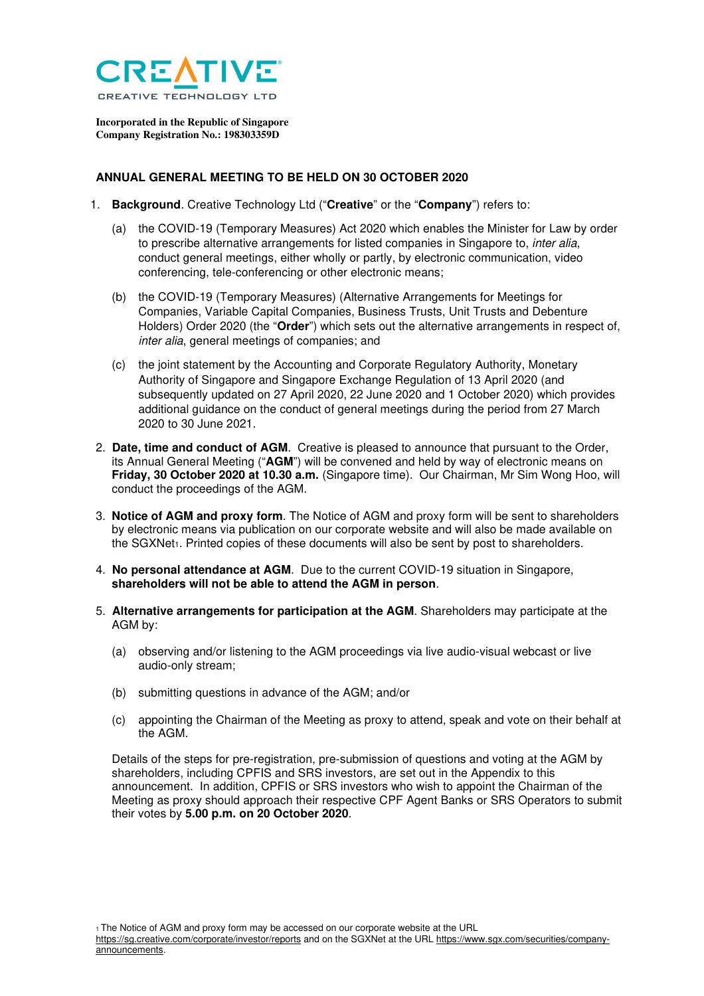

**Incorporated in the Republic of Singapore Company Registration No.: 198303359D** 

## **ANNUAL GENERAL MEETING TO BE HELD ON 30 OCTOBER 2020**

- 1. **Background**. Creative Technology Ltd ("**Creative**" or the "**Company**") refers to:
	- (a) the COVID-19 (Temporary Measures) Act 2020 which enables the Minister for Law by order to prescribe alternative arrangements for listed companies in Singapore to, inter alia, conduct general meetings, either wholly or partly, by electronic communication, video conferencing, tele-conferencing or other electronic means;
	- (b) the COVID-19 (Temporary Measures) (Alternative Arrangements for Meetings for Companies, Variable Capital Companies, Business Trusts, Unit Trusts and Debenture Holders) Order 2020 (the "**Order**") which sets out the alternative arrangements in respect of, inter alia, general meetings of companies; and
	- (c) the joint statement by the Accounting and Corporate Regulatory Authority, Monetary Authority of Singapore and Singapore Exchange Regulation of 13 April 2020 (and subsequently updated on 27 April 2020, 22 June 2020 and 1 October 2020) which provides additional guidance on the conduct of general meetings during the period from 27 March 2020 to 30 June 2021.
- 2. **Date, time and conduct of AGM**. Creative is pleased to announce that pursuant to the Order, its Annual General Meeting ("**AGM**") will be convened and held by way of electronic means on **Friday, 30 October 2020 at 10.30 a.m.** (Singapore time). Our Chairman, Mr Sim Wong Hoo, will conduct the proceedings of the AGM.
- 3. **Notice of AGM and proxy form**. The Notice of AGM and proxy form will be sent to shareholders by electronic means via publication on our corporate website and will also be made available on the SGXNet1. Printed copies of these documents will also be sent by post to shareholders.
- 4. **No personal attendance at AGM**. Due to the current COVID-19 situation in Singapore, **shareholders will not be able to attend the AGM in person**.
- 5. **Alternative arrangements for participation at the AGM**. Shareholders may participate at the AGM by:
	- (a) observing and/or listening to the AGM proceedings via live audio-visual webcast or live audio-only stream;
	- (b) submitting questions in advance of the AGM; and/or
	- (c) appointing the Chairman of the Meeting as proxy to attend, speak and vote on their behalf at the AGM.

Details of the steps for pre-registration, pre-submission of questions and voting at the AGM by shareholders, including CPFIS and SRS investors, are set out in the Appendix to this announcement. In addition, CPFIS or SRS investors who wish to appoint the Chairman of the Meeting as proxy should approach their respective CPF Agent Banks or SRS Operators to submit their votes by **5.00 p.m. on 20 October 2020**.

1 The Notice of AGM and proxy form may be accessed on our corporate website at the URL

https://sg.creative.com/corporate/investor/reports and on the SGXNet at the URL https://www.sgx.com/securities/companyannouncements.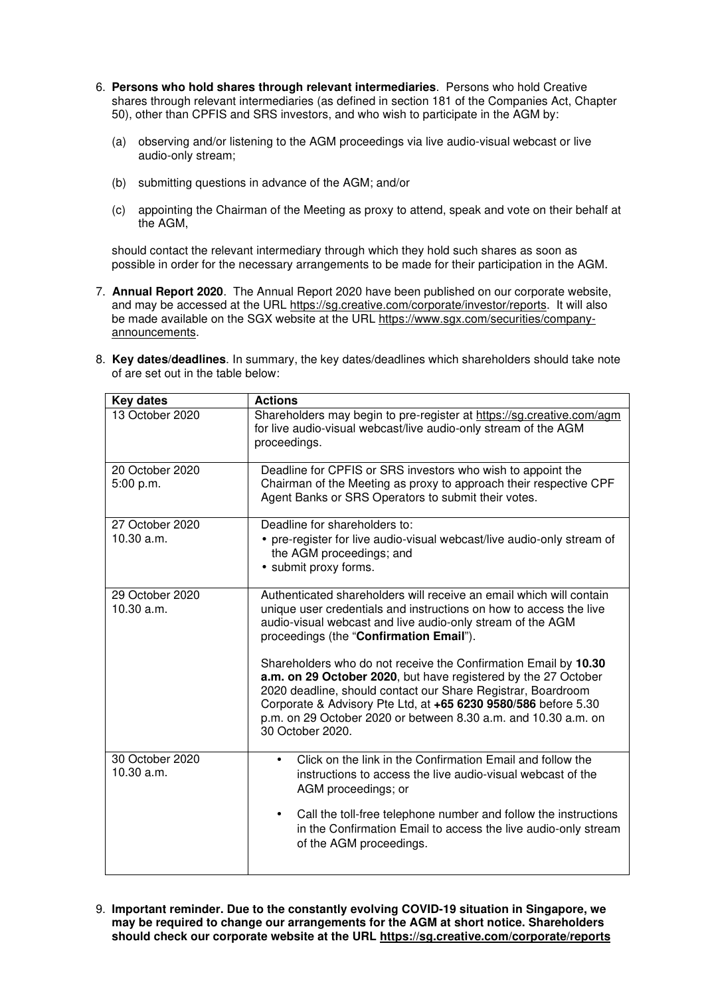- 6. **Persons who hold shares through relevant intermediaries**. Persons who hold Creative shares through relevant intermediaries (as defined in section 181 of the Companies Act, Chapter 50), other than CPFIS and SRS investors, and who wish to participate in the AGM by:
	- (a) observing and/or listening to the AGM proceedings via live audio-visual webcast or live audio-only stream;
	- (b) submitting questions in advance of the AGM; and/or
	- (c) appointing the Chairman of the Meeting as proxy to attend, speak and vote on their behalf at the AGM,

should contact the relevant intermediary through which they hold such shares as soon as possible in order for the necessary arrangements to be made for their participation in the AGM.

7. **Annual Report 2020**. The Annual Report 2020 have been published on our corporate website, and may be accessed at the URL https://sg.creative.com/corporate/investor/reports. It will also be made available on the SGX website at the URL https://www.sgx.com/securities/companyannouncements.

| 8. Key dates/deadlines. In summary, the key dates/deadlines which shareholders should take note |
|-------------------------------------------------------------------------------------------------|
| of are set out in the table below:                                                              |

| <b>Key dates</b>              | <b>Actions</b>                                                                                                                                                                                                                                                                                                                                            |
|-------------------------------|-----------------------------------------------------------------------------------------------------------------------------------------------------------------------------------------------------------------------------------------------------------------------------------------------------------------------------------------------------------|
| 13 October 2020               | Shareholders may begin to pre-register at https://sg.creative.com/agm<br>for live audio-visual webcast/live audio-only stream of the AGM<br>proceedings.                                                                                                                                                                                                  |
| 20 October 2020<br>5:00 p.m.  | Deadline for CPFIS or SRS investors who wish to appoint the<br>Chairman of the Meeting as proxy to approach their respective CPF<br>Agent Banks or SRS Operators to submit their votes.                                                                                                                                                                   |
| 27 October 2020<br>10.30 a.m. | Deadline for shareholders to:<br>• pre-register for live audio-visual webcast/live audio-only stream of<br>the AGM proceedings; and<br>• submit proxy forms.                                                                                                                                                                                              |
| 29 October 2020<br>10.30 a.m. | Authenticated shareholders will receive an email which will contain<br>unique user credentials and instructions on how to access the live<br>audio-visual webcast and live audio-only stream of the AGM<br>proceedings (the "Confirmation Email").                                                                                                        |
|                               | Shareholders who do not receive the Confirmation Email by 10.30<br>a.m. on 29 October 2020, but have registered by the 27 October<br>2020 deadline, should contact our Share Registrar, Boardroom<br>Corporate & Advisory Pte Ltd, at +65 6230 9580/586 before 5.30<br>p.m. on 29 October 2020 or between 8.30 a.m. and 10.30 a.m. on<br>30 October 2020. |
| 30 October 2020<br>10.30 a.m. | Click on the link in the Confirmation Email and follow the<br>instructions to access the live audio-visual webcast of the<br>AGM proceedings; or                                                                                                                                                                                                          |
|                               | Call the toll-free telephone number and follow the instructions<br>$\bullet$<br>in the Confirmation Email to access the live audio-only stream<br>of the AGM proceedings.                                                                                                                                                                                 |

9. **Important reminder. Due to the constantly evolving COVID-19 situation in Singapore, we may be required to change our arrangements for the AGM at short notice. Shareholders should check our corporate website at the URL https://sg.creative.com/corporate/reports**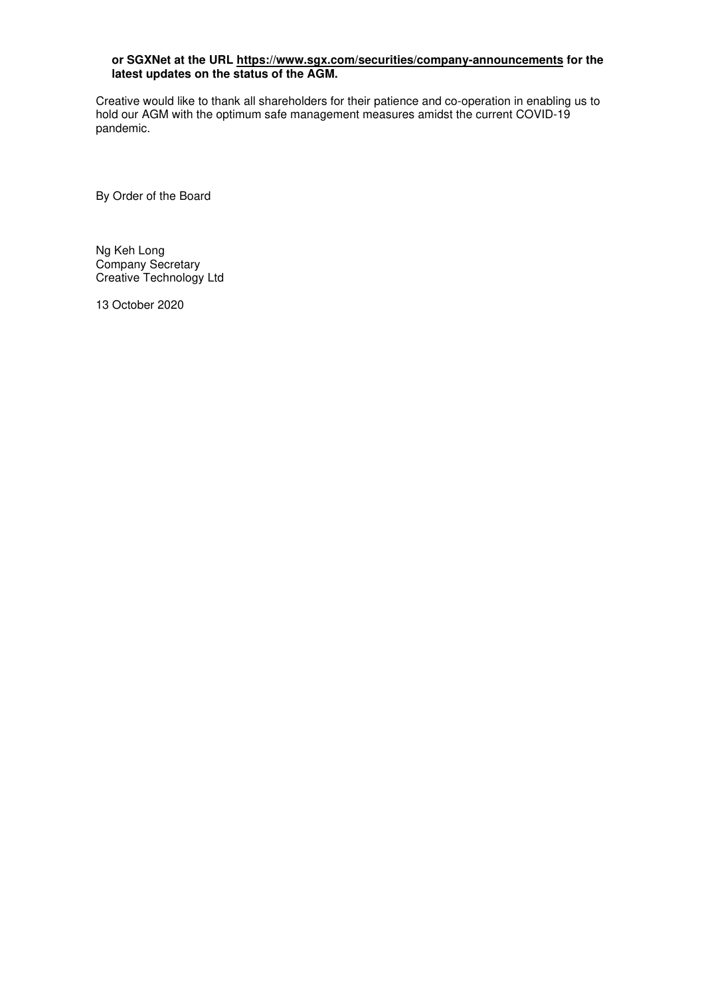## **or SGXNet at the URL https://www.sgx.com/securities/company-announcements for the latest updates on the status of the AGM.**

Creative would like to thank all shareholders for their patience and co-operation in enabling us to hold our AGM with the optimum safe management measures amidst the current COVID-19 pandemic.

By Order of the Board

Ng Keh Long Company Secretary Creative Technology Ltd

13 October 2020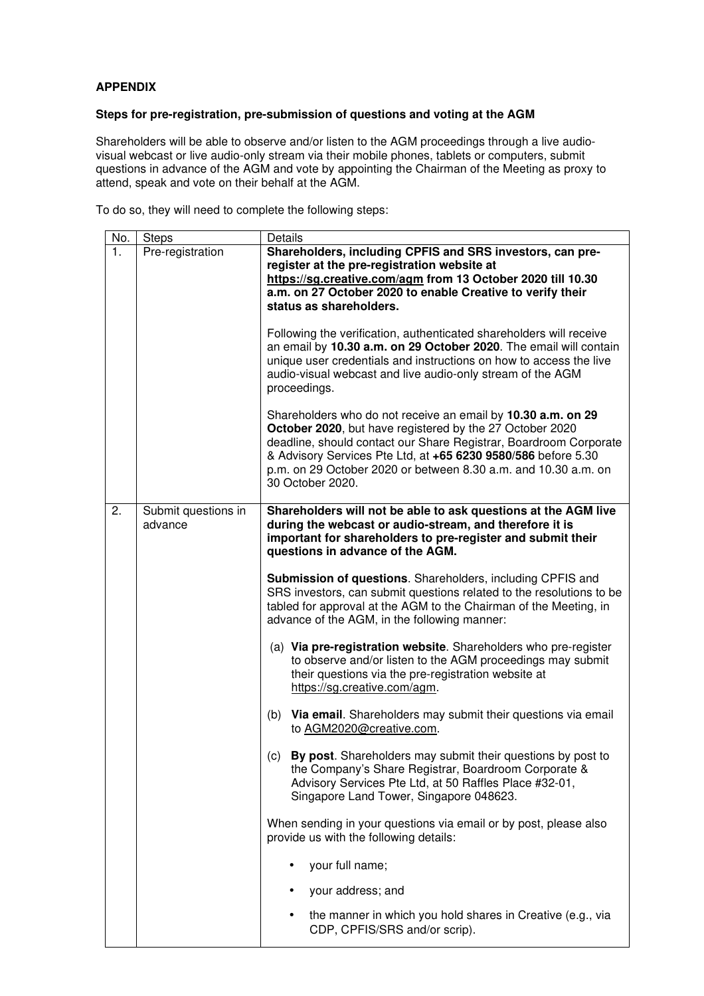## **APPENDIX**

## **Steps for pre-registration, pre-submission of questions and voting at the AGM**

Shareholders will be able to observe and/or listen to the AGM proceedings through a live audiovisual webcast or live audio-only stream via their mobile phones, tablets or computers, submit questions in advance of the AGM and vote by appointing the Chairman of the Meeting as proxy to attend, speak and vote on their behalf at the AGM.

To do so, they will need to complete the following steps:

| No. | <b>Steps</b>                   | Details                                                                                                                                                                                                                                                                                                                                              |
|-----|--------------------------------|------------------------------------------------------------------------------------------------------------------------------------------------------------------------------------------------------------------------------------------------------------------------------------------------------------------------------------------------------|
| 1.  | Pre-registration               | Shareholders, including CPFIS and SRS investors, can pre-<br>register at the pre-registration website at<br>https://sg.creative.com/agm from 13 October 2020 till 10.30<br>a.m. on 27 October 2020 to enable Creative to verify their<br>status as shareholders.                                                                                     |
|     |                                | Following the verification, authenticated shareholders will receive<br>an email by 10.30 a.m. on 29 October 2020. The email will contain<br>unique user credentials and instructions on how to access the live<br>audio-visual webcast and live audio-only stream of the AGM<br>proceedings.                                                         |
|     |                                | Shareholders who do not receive an email by 10.30 a.m. on 29<br>October 2020, but have registered by the 27 October 2020<br>deadline, should contact our Share Registrar, Boardroom Corporate<br>& Advisory Services Pte Ltd, at +65 6230 9580/586 before 5.30<br>p.m. on 29 October 2020 or between 8.30 a.m. and 10.30 a.m. on<br>30 October 2020. |
| 2.  | Submit questions in<br>advance | Shareholders will not be able to ask questions at the AGM live<br>during the webcast or audio-stream, and therefore it is<br>important for shareholders to pre-register and submit their<br>questions in advance of the AGM.                                                                                                                         |
|     |                                | Submission of questions. Shareholders, including CPFIS and<br>SRS investors, can submit questions related to the resolutions to be<br>tabled for approval at the AGM to the Chairman of the Meeting, in<br>advance of the AGM, in the following manner:                                                                                              |
|     |                                | (a) Via pre-registration website. Shareholders who pre-register<br>to observe and/or listen to the AGM proceedings may submit<br>their questions via the pre-registration website at<br>https://sg.creative.com/agm.                                                                                                                                 |
|     |                                | (b) Via email. Shareholders may submit their questions via email<br>to AGM2020@creative.com.                                                                                                                                                                                                                                                         |
|     |                                | By post. Shareholders may submit their questions by post to<br>(c)<br>the Company's Share Registrar, Boardroom Corporate &<br>Advisory Services Pte Ltd, at 50 Raffles Place #32-01,<br>Singapore Land Tower, Singapore 048623.                                                                                                                      |
|     |                                | When sending in your questions via email or by post, please also<br>provide us with the following details:                                                                                                                                                                                                                                           |
|     |                                | your full name;                                                                                                                                                                                                                                                                                                                                      |
|     |                                | your address; and                                                                                                                                                                                                                                                                                                                                    |
|     |                                | the manner in which you hold shares in Creative (e.g., via<br>CDP, CPFIS/SRS and/or scrip).                                                                                                                                                                                                                                                          |